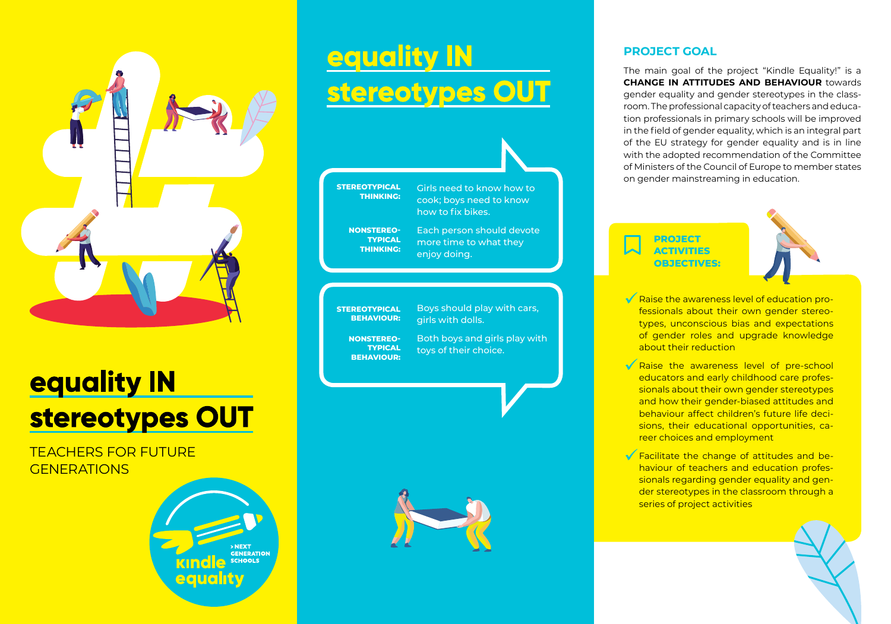

# **equality IN** stereotypes OUT

TEACHERS FOR FUTURE **GENERATIONS** 



# equality IN stereotypes OUT



**STEREOTYPICAL BEHAVIOUR:**  Boys should play with cars, girls with dolls.

**NONSTEREO-TYPICAL BEHAVIOUR:** 

Both boys and girls play with toys of their choice.



### **PROJECT GOAL**

The main goal of the project "Kindle Equality!" is a **CHANGE IN ATTITUDES AND BEHAVIOUR** towards gender equality and gender stereotypes in the classroom. The professional capacity of teachers and education professionals in primary schools will be improved in the field of gender equality, which is an integral part of the EU strategy for gender equality and is in line with the adopted recommendation of the Committee of Ministers of the Council of Europe to member states on gender mainstreaming in education.

**PROJECT ACTIVITIES OBJECTIVES:** 



- K Raise the awareness level of education professionals about their own gender stereotypes, unconscious bias and expectations of gender roles and upgrade knowledge about their reduction
- K Raise the awareness level of pre-school educators and early childhood care professionals about their own gender stereotypes and how their gender-biased attitudes and behaviour affect children's future life decisions, their educational opportunities, career choices and employment
- Facilitate the change of attitudes and behaviour of teachers and education professionals regarding gender equality and gender stereotypes in the classroom through a series of project activities